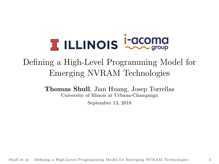## <span id="page-0-0"></span>**T ILLINOIS COOMS**

## Defining a High-Level Programming Model for Emerging NVRAM Technologies

Thomas Shull, Jian Huang, Josep Torrellas University of Illinois at Urbana-Champaign

September 13, 2018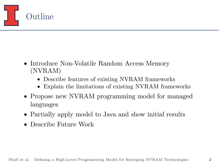

- Introduce Non-Volatile Random Access Memory (NVRAM)
	- Describe features of existing NVRAM frameworks
	- Explain the limitations of existing NVRAM frameworks
- Propose new NVRAM programming model for managed languages
- Partially apply model to Java and show initial results
- Describe Future Work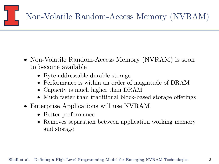

- Non-Volatile Random-Access Memory (NVRAM) is soon to become available
	- Byte-addressable durable storage
	- Performance is within an order of magnitude of DRAM
	- Capacity is much higher than DRAM
	- Much faster than traditional block-based storage offerings
- Enterprise Applications will use NVRAM
	- Better performance
	- Removes separation between application working memory and storage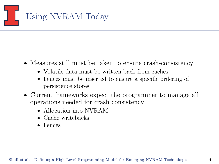

- Measures still must be taken to ensure crash-consistency
	- Volatile data must be written back from caches
	- Fences must be inserted to ensure a specific ordering of persistence stores
- Current frameworks expect the programmer to manage all operations needed for crash consistency
	- Allocation into NVRAM
	- Cache writebacks
	- Fences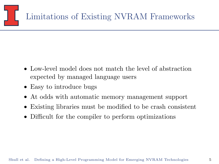

- Low-level model does not match the level of abstraction expected by managed language users
- Easy to introduce bugs
- At odds with automatic memory management support
- Existing libraries must be modified to be crash consistent
- Difficult for the compiler to perform optimizations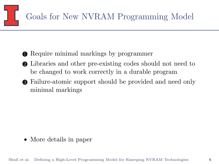

- **Require minimal markings by programmer**
- 2 Libraries and other pre-existing codes should not need to be changed to work correctly in a durable program
- 3 Failure-atomic support should be provided and need only minimal markings

• More details in paper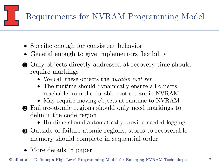

- Specific enough for consistent behavior
- General enough to give implementors flexibility
- Only objects directly addressed at recovery time should require markings
	- We call these objects the *durable root set*
	- The runtime should dynamically ensure all objects reachable from the durable root set are in NVRAM
	- May require moving objects at runtime to NVRAM
- 2 Failure-atomic regions should only need markings to delimit the code region
	- Runtime should automatically provide needed logging
- 3 Outside of failure-atomic regions, stores to recoverable memory should complete in sequential order
- More details in paper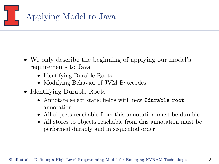

- We only describe the beginning of applying our model's requirements to Java
	- Identifying Durable Roots
	- Modifying Behavior of JVM Bytecodes
- Identifying Durable Roots
	- Annotate select static fields with new @durable root annotation
	- All objects reachable from this annotation must be durable
	- All stores to objects reachable from this annotation must be performed durably and in sequential order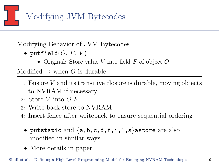

Modifying Behavior of JVM Bytecodes

- putfield $(O, F, V)$ 
	- Original: Store value V into field  $F$  of object  $O$

Modified  $\rightarrow$  when O is durable:

- 1: Ensure  $V$  and its transitive closure is durable, moving objects to NVRAM if necessary
- 2: Store V into  $O.F$
- 3: Write back store to NVRAM
- 4: Insert fence after writeback to ensure sequential ordering
	- putstatic and  $\{a,b,c,d,f,i,l,s\}$  astore are also modified in similar ways
	- More details in paper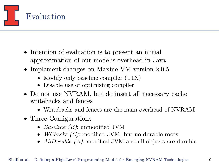

- Intention of evaluation is to present an initial approximation of our model's overhead in Java
- Implement changes on Maxine VM version 2.0.5
	- Modify only baseline compiler  $(T1X)$
	- Disable use of optimizing compiler
- Do not use NVRAM, but do insert all necessary cache writebacks and fences
	- Writebacks and fences are the main overhead of NVRAM
- Three Configurations
	- *Baseline (B)*: unmodified JVM
	- *WChecks (C)*: modified JVM, but no durable roots
	- AllDurable (A): modified JVM and all objects are durable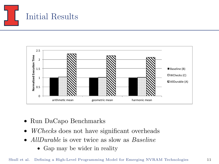



- Run DaCapo Benchmarks
- WChecks does not have significant overheads
- AllDurable is over twice as slow as Baseline
	- Gap may be wider in reality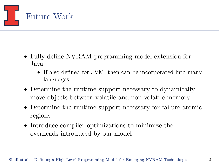

- Fully define NVRAM programming model extension for Java
	- If also defined for JVM, then can be incorporated into many languages
- Determine the runtime support necessary to dynamically move objects between volatile and non-volatile memory
- Determine the runtime support necessary for failure-atomic regions
- Introduce compiler optimizations to minimize the overheads introduced by our model